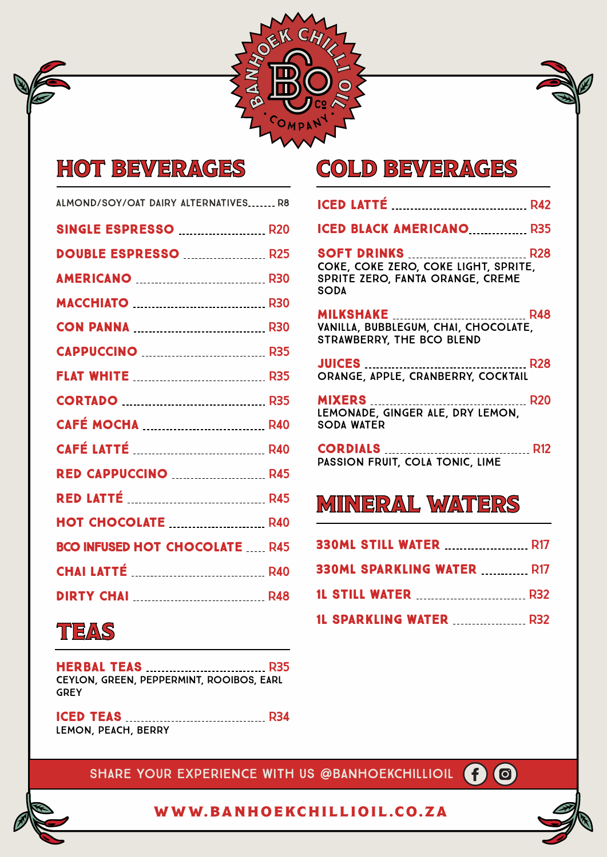

## HOT BEVERAGES

| ALMOND/SOY/OAT DAIRY ALTERNATIVES R8 |  |
|--------------------------------------|--|
| <b>SINGLE ESPRESSO  R20</b>          |  |
| DOUBLE ESPRESSO  R25                 |  |
|                                      |  |
|                                      |  |
|                                      |  |
|                                      |  |
|                                      |  |
| <b>CORTADO</b> 2008 235              |  |
|                                      |  |
|                                      |  |
| <b>RED CAPPUCCINO  R45</b>           |  |
|                                      |  |
| <b>HOT CHOCOLATE  R40</b>            |  |
| <b>BCO INFUSED HOT CHOCOLATE R45</b> |  |
|                                      |  |
|                                      |  |
|                                      |  |

#### TEAS

| CEYLON, GREEN, PEPPERMINT, ROOIBOS, EARL |  |
|------------------------------------------|--|
| <b>GREY</b>                              |  |

ICED TEAS R34 LEMON, PEACH, BERRY

#### COLD BEVERAGES

| <b>ICED BLACK AMERICANO  R35</b>                                                        |  |
|-----------------------------------------------------------------------------------------|--|
| COKE, COKE ZERO, COKE LIGHT, SPRITE,<br>SPRITE ZERO, FANTA ORANGE, CREME<br><b>SODA</b> |  |
| VANILLA, BUBBLEGUM, CHAI, CHOCOLATE,<br>STRAWBERRY, THE BCO BLEND                       |  |
| ORANGE, APPLE, CRANBERRY, COCKTAIL                                                      |  |
| LEMONADE, GINGER ALE, DRY LEMON.<br><b>SODA WATER</b>                                   |  |
| PASSION FRUIT, COLA TONIC, LIME                                                         |  |

#### MINERAL WATERS

| <b>330ML SPARKLING WATER  R17</b> |  |
|-----------------------------------|--|
|                                   |  |
| <b>1L SPARKLING WATER  R32</b>    |  |

SHARE YOUR EXPERIENCE WITH US @BANHOEKCHILLIOIL **@** 

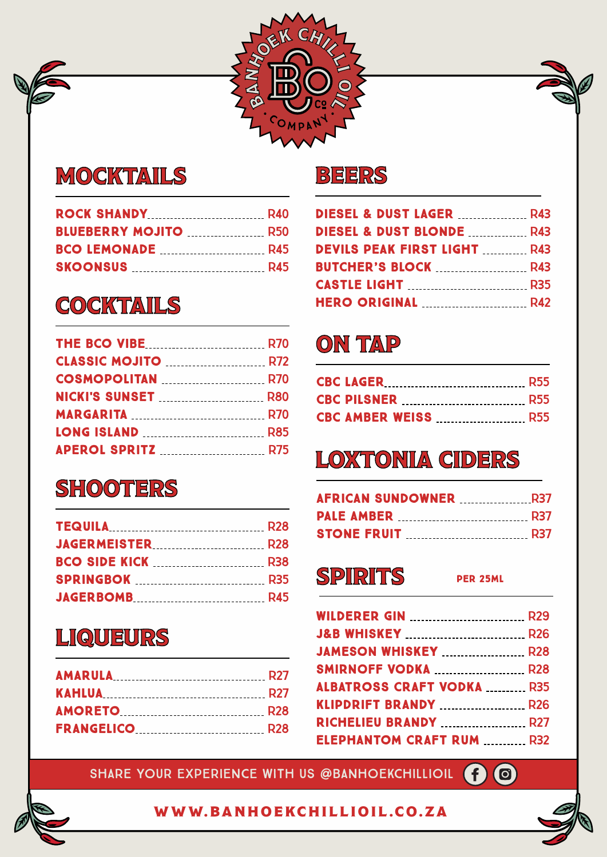

#### MOCKTAILS

| <b>BLUEBERRY MOJITO  R50</b> |  |
|------------------------------|--|
|                              |  |
|                              |  |
|                              |  |

## **COCKTAILS**

## **SHOOTERS**

| <b>TEQUILA</b> R28           |  |
|------------------------------|--|
| <b>JAGERMEISTER</b> [28] R28 |  |
|                              |  |
|                              |  |
|                              |  |

#### LIQUEURS

| <b>AMARULA</b> 27 |  |
|-------------------|--|
| <b>KAHLUA</b> R27 |  |
|                   |  |
|                   |  |

#### BEERS

| <b>DIESEL &amp; DUST LAGER MARKER R43</b> |  |
|-------------------------------------------|--|
| <b>DIESEL &amp; DUST BLONDE  R43</b>      |  |
| <b>DEVILS PEAK FIRST LIGHT  R43</b>       |  |
|                                           |  |
|                                           |  |
|                                           |  |

### ON TAP

# LOXTONIA CIDERS

| <b>AFRICAN SUNDOWNER MARIOR REST</b> |  |
|--------------------------------------|--|
|                                      |  |
|                                      |  |

## SPIRITS PER 25ML

| <b>WILDERER GIN  R29</b>                |  |
|-----------------------------------------|--|
| <b>J&amp;B WHISKEY</b> R26              |  |
| <b>JAMESON WHISKEY MALLEY</b> R28       |  |
| <b>SMIRNOFF VODKA  R28</b>              |  |
| <b>ALBATROSS CRAFT VODKA  R35</b>       |  |
| <b>KLIPDRIFT BRANDY</b> R26             |  |
| <b>RICHELIEU BRANDY MALLEY RESIDENT</b> |  |
| <b>ELEPHANTOM CRAFT RUM  R32</b>        |  |
|                                         |  |

SHARE YOUR EXPERIENCE WITH US @BANHOEKCHILLIOIL **@** 



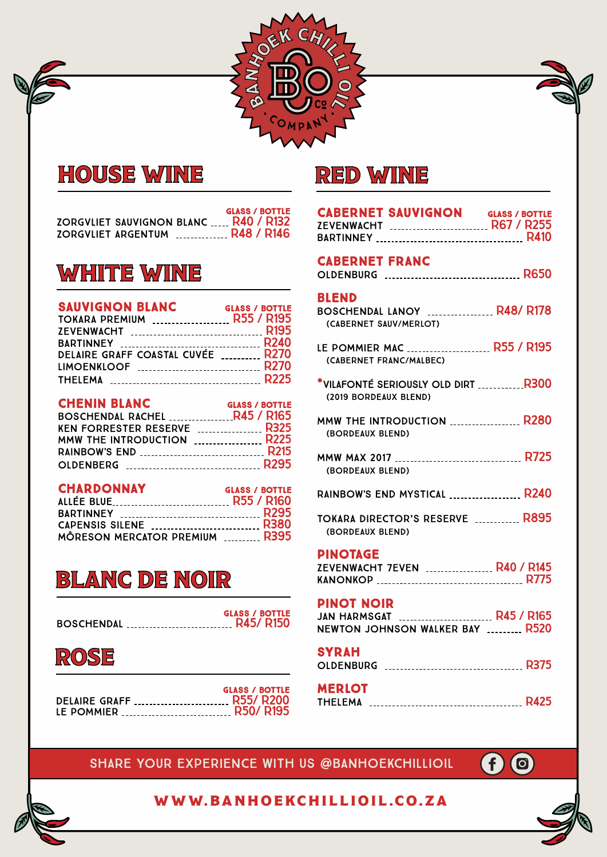

#### HOUSE WINE

|                           |                                       |                   | <b>GLASS / BOTTLE</b> |  |
|---------------------------|---------------------------------------|-------------------|-----------------------|--|
|                           | ZORGVLIET SAUVIGNON BLANC  R40 / R132 |                   |                       |  |
| <b>ZORGVLIET ARGENTUM</b> |                                       | <b>R48 / R146</b> |                       |  |

#### WHITE WINE

| <b>SAUVIGNON BLANC</b><br>TOKARA PREMIUM  R55 / R195 | <b>GLASS / BOTTLE</b> |
|------------------------------------------------------|-----------------------|
|                                                      |                       |
|                                                      |                       |
| DELAIRE GRAFF COASTAL CUVÉE  R270                    |                       |
| LIMOENKLOOF  R270                                    |                       |
|                                                      |                       |

| <b>CHENIN BLANC</b>           | <b>GLASS / BOTTLE</b> |
|-------------------------------|-----------------------|
| BOSCHENDAL RACHEL  R45 / R165 |                       |
| KEN FORRESTER RESERVE  R325   |                       |
| MMW THE INTRODUCTION  R225    |                       |
|                               |                       |
|                               |                       |

#### CHARDONNAY GLASS / BOTTLE

| ALLÉE BLUE R55 / R160          |  |
|--------------------------------|--|
|                                |  |
| CAPENSIS SILENE  R380          |  |
| MÔRESON MERCATOR PREMIUM  R395 |  |

#### BLANC DE NOIR

|                      | <b>GLASS / BOTTLE</b> |
|----------------------|-----------------------|
| BOSCHENDAL  R45/R150 |                       |
|                      |                       |



|                          | <b>GLASS / BOTTLE</b> |
|--------------------------|-----------------------|
| DELAIRE GRAFF  R55/ R200 |                       |
| LE POMMIER  R50/ R195    |                       |

#### RED WINE

| <b>CABERNET SAUVIGNON GLASS / BOTTLE</b>                    |  |
|-------------------------------------------------------------|--|
| <b>CABERNET FRANC</b>                                       |  |
| <b>BLEND</b><br>(CABERNET SAUV/MERLOT)                      |  |
| LE POMMIER MAC  R55 / R195<br>(CABERNET FRANC/MALBEC)       |  |
| *VILAFONTÉ SERIOUSLY OLD DIRT R300<br>(2019 BORDEAUX BLEND) |  |
| <b>MMW THE INTRODUCTION  R280</b><br>(BORDEAUX BLEND)       |  |
| MMW MAX 2017  R725<br>(BORDEAUX BLEND)                      |  |
| RAINBOW'S END MYSTICAL  R240                                |  |
| <b>TOKARA DIRECTOR'S RESERVE  R895</b><br>(BORDEAUX BLEND)  |  |
| <b>PINOTAGE</b>                                             |  |
| ZEVENWACHT 7EVEN  R40 / R145                                |  |
| <b>PINOT NOIR</b><br>NEWTON JOHNSON WALKER BAY  R520        |  |
| <b>SYRAH</b>                                                |  |
| <b>MERLOT</b>                                               |  |
|                                                             |  |

#### SHARE your experience with us @Banhoekchillioil